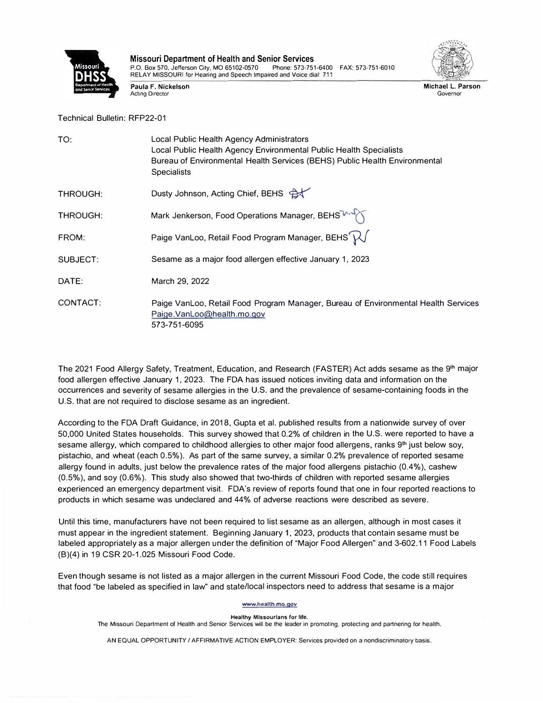

**Missouri Department of Health and Senior Services**  P.O. Box 570, Jefferson City, MO 65102-0570 RELAY MISSOURI for Hearing and Speech Impaired and Voice dial: 711

**Paula F. Nickelson**  Acting Director



**Michael** L. **Parson Governor** 

Technical Bulletin: RFP22-01

| TO:      | Local Public Health Agency Administrators<br>Local Public Health Agency Environmental Public Health Specialists<br>Bureau of Environmental Health Services (BEHS) Public Health Environmental<br><b>Specialists</b> |
|----------|---------------------------------------------------------------------------------------------------------------------------------------------------------------------------------------------------------------------|
| THROUGH: | Dusty Johnson, Acting Chief, BEHS                                                                                                                                                                                   |
| THROUGH: | Mark Jenkerson, Food Operations Manager, BEHS                                                                                                                                                                       |
| FROM:    | Paige VanLoo, Retail Food Program Manager, BEHS $\mathcal{W}$                                                                                                                                                       |
| SUBJECT: | Sesame as a major food allergen effective January 1, 2023                                                                                                                                                           |
| DATE:    | March 29, 2022                                                                                                                                                                                                      |
| CONTACT: | Paige VanLoo, Retail Food Program Manager, Bureau of Environmental Health Services<br>Paige.VanLoo@health.mo.gov<br>573-751-6095                                                                                    |

The 2021 Food Allergy Safety, Treatment, Education, and Research (FASTER) Act adds sesame as the 9 **1 h** major food allergen effective January 1, 2023. The FDA has issued notices inviting data and information on the occurrences and severity of sesame allergies in the U.S. and the prevalence of sesame-containing foods in the U.S. that are not required to disclose sesame as an ingredient.

According to the FDA Draft Guidance, in 2018, Gupta et al. published results from a nationwide survey of over 50,000 United States households. This survey showed that 0.2% of children in the U.S. were reported to have <sup>a</sup> sesame allergy, which compared to childhood allergies to other major food allergens, ranks 9<sup>th</sup> just below soy, pistachio, and wheat (each 0.5%). As part of the same survey, a similar 0.2% prevalence of reported sesame allergy found in adults, just below the prevalence rates of the major food allergens pistachio (0.4%), cashew (0.5%), and soy (0.6%). This study also showed that two-thirds of children with reported sesame allergies experienced an emergency department visit. FDA's review of reports found that one in four reported reactions to products in which sesame was undeclared and 44% of adverse reactions were described as severe.

Until this time, manufacturers have not been required to list sesame as an allergen, although in most cases it must appear in the ingredient statement. Beginning January 1, 2023, products that contain sesame must be labeled appropriately as a major allergen under the definition of "Major Food Allergen" and 3-602.11 Food Labels (8)(4) in 19 CSR 20-1.025 Missouri Food Code.

Even though sesame is not listed as a major allergen in the current Missouri Food Code, the code still requires that food "be labeled as specified in law" and state/local inspectors need to address that sesame is a major

## **www.health.mo.gov**

## **Healthy Missourians for** life.

The Missouri Department of Health and Senior Services will be the leader in promoting, protecting and partnering for health.

AN EQUAL OPPORTUNITY/ AFFIRMATIVE ACTION EMPLOYER: Services provided on a nondiscriminatory basis.